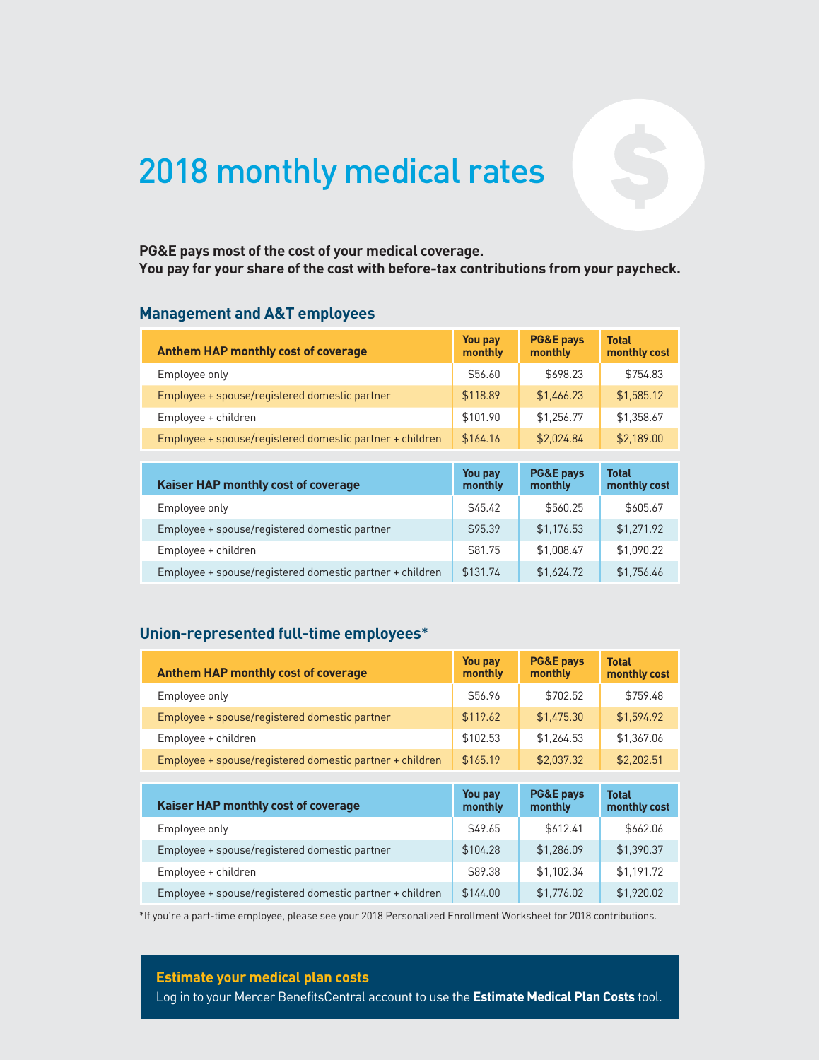# 2018 monthly medical rates

# **You pay for your share of the cost with before-tax contributions from your paycheck.**

#### **Management and A&T employees**

| PG&E pays most of the cost of your medical coverage.<br>You pay for your share of the cost with before-tax contributions from your paycheck.<br><b>Management and A&amp;T employees</b> |                    |                                 |                              |
|-----------------------------------------------------------------------------------------------------------------------------------------------------------------------------------------|--------------------|---------------------------------|------------------------------|
| <b>Anthem HAP monthly cost of coverage</b>                                                                                                                                              | You pay<br>monthly | <b>PG&amp;E pays</b><br>monthly | <b>Total</b><br>monthly cost |
| Employee only                                                                                                                                                                           | \$56.60            | \$698.23                        | \$754.83                     |
| Employee + spouse/registered domestic partner                                                                                                                                           | \$118.89           | \$1,466.23                      | \$1,585.12                   |
| Employee + children                                                                                                                                                                     | \$101.90           | \$1,256.77                      | \$1,358.67                   |
| Employee + spouse/registered domestic partner + children                                                                                                                                | \$164.16           | \$2,024.84                      | \$2,189.00                   |
|                                                                                                                                                                                         |                    |                                 |                              |
| Kaiser HAP monthly cost of coverage                                                                                                                                                     | You pay<br>monthly | <b>PG&amp;E pays</b><br>monthly | <b>Total</b><br>monthly cost |
| Employee only                                                                                                                                                                           | \$45.42            | \$560.25                        | \$605.67                     |
| Employee + spouse/registered domestic partner                                                                                                                                           | \$95.39            | \$1,176.53                      | \$1,271.92                   |
| Employee + children                                                                                                                                                                     | \$81.75            | \$1,008.47                      | \$1,090.22                   |
| Employee + spouse/registered domestic partner + children                                                                                                                                | \$131.74           | \$1,624.72                      | \$1,756.46                   |

| <b>Kaiser HAP monthly cost of coverage</b>               | You pay<br>monthly | <b>PG&amp;E pays</b><br>monthly | <b>Total</b><br>monthly cost |
|----------------------------------------------------------|--------------------|---------------------------------|------------------------------|
| Employee only                                            | \$45.42            | \$560.25                        | \$605.67                     |
| Employee + spouse/registered domestic partner            | \$95.39            | \$1,176.53                      | \$1,271.92                   |
| Employee + children                                      | \$81.75            | \$1,008.47                      | \$1,090.22                   |
| Employee + spouse/registered domestic partner + children | \$131.74           | \$1,624.72                      | \$1,756.46                   |

| Union-represented full-time employees*                   |                           |                                 |                              |
|----------------------------------------------------------|---------------------------|---------------------------------|------------------------------|
| <b>Anthem HAP monthly cost of coverage</b>               | <b>You pay</b><br>monthly | <b>PG&amp;E pays</b><br>monthly | <b>Total</b><br>monthly cost |
| Employee only                                            | \$56.96                   | \$702.52                        | \$759.48                     |
| Employee + spouse/registered domestic partner            | \$119.62                  | \$1,475.30                      | \$1,594.92                   |
| Employee + children                                      | \$102.53                  | \$1.264.53                      | \$1.367.06                   |
| Employee + spouse/registered domestic partner + children | \$165.19                  | \$2.037.32                      | \$2,202.51                   |
|                                                          |                           |                                 |                              |
| Kaiser HAP monthly cost of coverage                      | You pay<br>monthly        | <b>PG&amp;E pays</b><br>monthly | <b>Total</b><br>monthly cost |
| Employee only                                            | \$49.65                   | \$612.41                        | \$662.06                     |
| Employee + spouse/registered domestic partner            | \$104.28                  | \$1,286.09                      | \$1,390.37                   |
| Employee + children                                      | \$89.38                   | \$1,102.34                      | \$1,191.72                   |
| Employee + spouse/registered domestic partner + children | \$144.00                  | \$1,776.02                      | \$1,920.02                   |

\*If you're a part-time employee, please see your 2018 Personalized Enrollment Worksheet for 2018 contributions.

#### **Estimate your medical plan costs**

Log in to your Mercer BenefitsCentral account to use the **Estimate Medical Plan Costs** tool.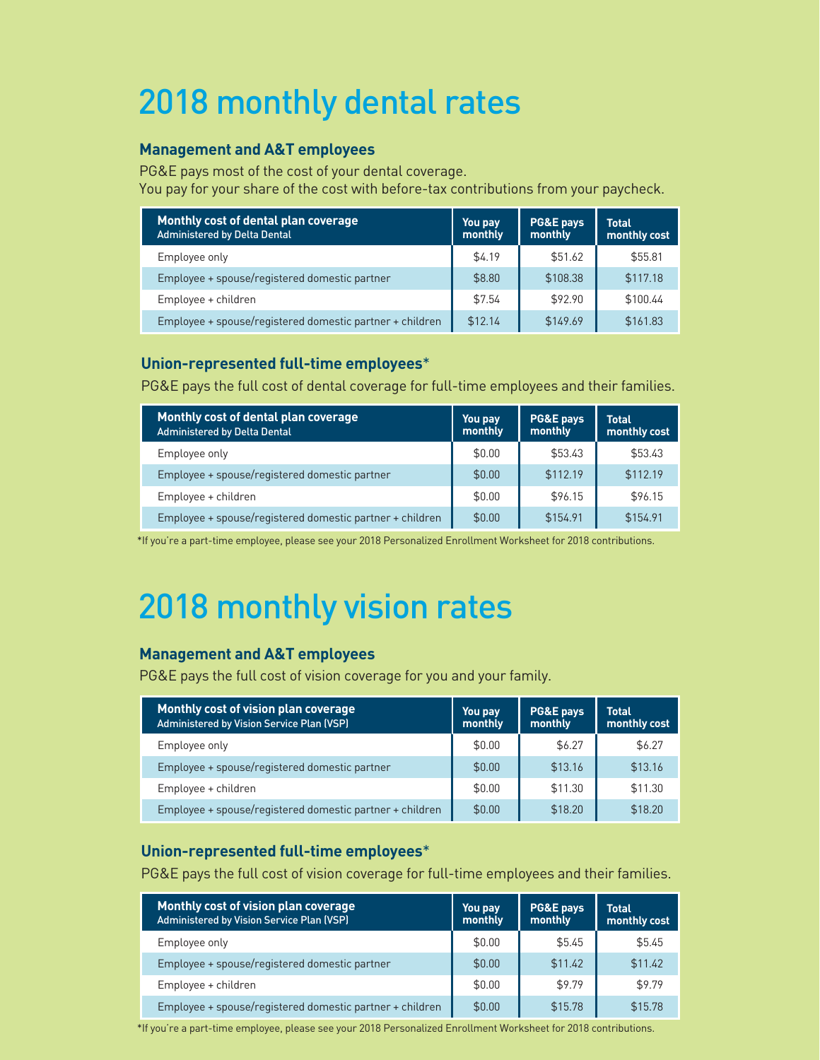# 2018 monthly dental rates

### **Management and A&T employees**

PG&E pays most of the cost of your dental coverage. You pay for your share of the cost with before-tax contributions from your paycheck.

| Monthly cost of dental plan coverage<br><b>Administered by Delta Dental</b> | You pay<br>monthly | PG&E pays<br>monthly | <b>Total</b><br>monthly cost |
|-----------------------------------------------------------------------------|--------------------|----------------------|------------------------------|
| Employee only                                                               | \$4.19             | \$51.62              | \$55.81                      |
| Employee + spouse/registered domestic partner                               | \$8.80             | \$108.38             | \$117.18                     |
| Employee + children                                                         | \$7.54             | \$92.90              | \$100.44                     |
| Employee + spouse/registered domestic partner + children                    | \$12.14            | \$149.69             | \$161.83                     |

### **Union-represented full-time employees**\*

PG&E pays the full cost of dental coverage for full-time employees and their families.

| Monthly cost of dental plan coverage<br><b>Administered by Delta Dental</b> | You pay<br>monthly | PG&E pays<br>monthly | <b>Total</b><br>monthly cost |
|-----------------------------------------------------------------------------|--------------------|----------------------|------------------------------|
| Employee only                                                               | \$0.00             | \$53.43              | \$53.43                      |
| Employee + spouse/registered domestic partner                               | \$0.00             | \$112.19             | \$112.19                     |
| Employee + children                                                         | \$0.00             | \$96.15              | \$96.15                      |
| Employee + spouse/registered domestic partner + children                    | \$0.00             | \$154.91             | \$154.91                     |

\*If you're a part-time employee, please see your 2018 Personalized Enrollment Worksheet for 2018 contributions.

# 2018 monthly vision rates

### **Management and A&T employees**

PG&E pays the full cost of vision coverage for you and your family.

| Monthly cost of vision plan coverage<br>Administered by Vision Service Plan (VSP) | You pay<br>monthly | <b>PG&amp;E pays</b><br>monthly | <b>Total</b><br>monthly cost |
|-----------------------------------------------------------------------------------|--------------------|---------------------------------|------------------------------|
| Employee only                                                                     | \$0.00             | \$6.27                          | \$6.27                       |
| Employee + spouse/registered domestic partner                                     | \$0.00             | \$13.16                         | \$13.16                      |
| Employee + children                                                               | \$0.00             | \$11.30                         | \$11.30                      |
| Employee + spouse/registered domestic partner + children                          | \$0.00             | \$18.20                         | \$18.20                      |

#### **Union-represented full-time employees**\*

PG&E pays the full cost of vision coverage for full-time employees and their families.

| Monthly cost of vision plan coverage<br><b>Administered by Vision Service Plan (VSP)</b> | You pay<br>monthly | PG&E pays<br>monthly | <b>Total</b><br>monthly cost |
|------------------------------------------------------------------------------------------|--------------------|----------------------|------------------------------|
| Employee only                                                                            | \$0.00             | \$5.45               | \$5.45                       |
| Employee + spouse/registered domestic partner                                            | \$0.00             | \$11.42              | \$11.42                      |
| Employee + children                                                                      | \$0.00             | \$9.79               | \$9.79                       |
| Employee + spouse/registered domestic partner + children                                 | \$0.00             | \$15.78              | \$15.78                      |

\*If you're a part-time employee, please see your 2018 Personalized Enrollment Worksheet for 2018 contributions.